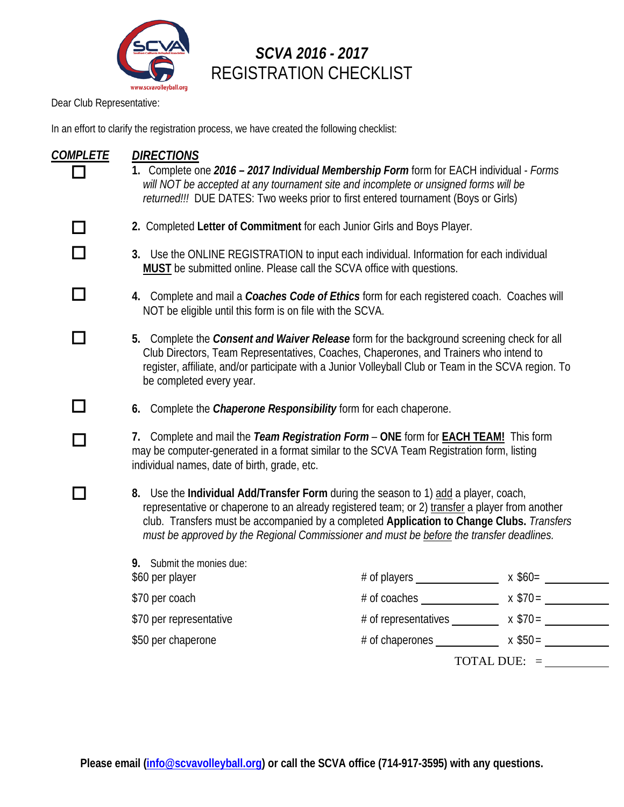

# *SCVA 2016 - 2017* REGISTRATION CHECKLIST

Dear Club Representative:

In an effort to clarify the registration process, we have created the following checklist:

| <b>COMPLETE</b> | <b>DIRECTIONS</b><br>1. Complete one 2016 - 2017 Individual Membership Form form for EACH individual - Forms<br>will NOT be accepted at any tournament site and incomplete or unsigned forms will be<br>returned!!! DUE DATES: Two weeks prior to first entered tournament (Boys or Girls)                                                                                       |                                                        |                |
|-----------------|----------------------------------------------------------------------------------------------------------------------------------------------------------------------------------------------------------------------------------------------------------------------------------------------------------------------------------------------------------------------------------|--------------------------------------------------------|----------------|
|                 | 2. Completed Letter of Commitment for each Junior Girls and Boys Player.                                                                                                                                                                                                                                                                                                         |                                                        |                |
|                 | 3. Use the ONLINE REGISTRATION to input each individual. Information for each individual<br>MUST be submitted online. Please call the SCVA office with questions.                                                                                                                                                                                                                |                                                        |                |
|                 | 4. Complete and mail a Coaches Code of Ethics form for each registered coach. Coaches will<br>NOT be eligible until this form is on file with the SCVA.                                                                                                                                                                                                                          |                                                        |                |
|                 | 5. Complete the Consent and Waiver Release form for the background screening check for all<br>Club Directors, Team Representatives, Coaches, Chaperones, and Trainers who intend to<br>register, affiliate, and/or participate with a Junior Volleyball Club or Team in the SCVA region. To<br>be completed every year.                                                          |                                                        |                |
|                 | 6. Complete the Chaperone Responsibility form for each chaperone.                                                                                                                                                                                                                                                                                                                |                                                        |                |
|                 | 7. Complete and mail the Team Registration Form - ONE form for <b>EACH TEAM!</b> This form<br>may be computer-generated in a format similar to the SCVA Team Registration form, listing<br>individual names, date of birth, grade, etc.                                                                                                                                          |                                                        |                |
| n.              | 8. Use the Individual Add/Transfer Form during the season to 1) add a player, coach,<br>representative or chaperone to an already registered team; or 2) transfer a player from another<br>club. Transfers must be accompanied by a completed Application to Change Clubs. Transfers<br>must be approved by the Regional Commissioner and must be before the transfer deadlines. |                                                        |                |
|                 | 9. Submit the monies due:<br>\$60 per player                                                                                                                                                                                                                                                                                                                                     |                                                        |                |
|                 | \$70 per coach                                                                                                                                                                                                                                                                                                                                                                   |                                                        |                |
|                 | \$70 per representative                                                                                                                                                                                                                                                                                                                                                          | # of representatives $\frac{\sqrt{370}}{2}$ x \$70 =   |                |
|                 | \$50 per chaperone                                                                                                                                                                                                                                                                                                                                                               | # of chaperones $\qquad \qquad x \$50 = \qquad \qquad$ |                |
|                 |                                                                                                                                                                                                                                                                                                                                                                                  |                                                        | TOTAL DUE: $=$ |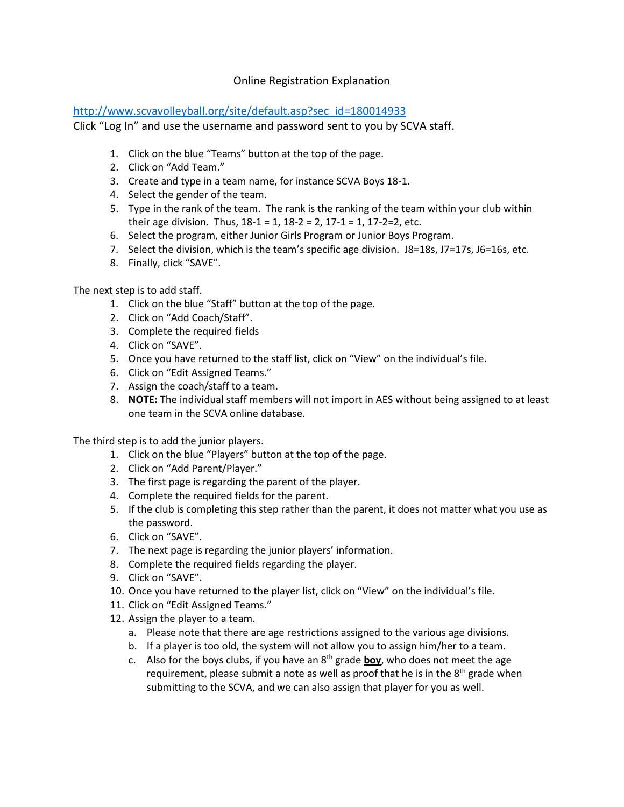#### Online Registration Explanation

#### [http://www.scvavolleyball.org/site/default.asp?sec\\_id=180014933](http://www.scvavolleyball.org/site/default.asp?sec_id=180014933)

Click "Log In" and use the username and password sent to you by SCVA staff.

- 1. Click on the blue "Teams" button at the top of the page.
- 2. Click on "Add Team."
- 3. Create and type in a team name, for instance SCVA Boys 18-1.
- 4. Select the gender of the team.
- 5. Type in the rank of the team. The rank is the ranking of the team within your club within their age division. Thus,  $18-1 = 1$ ,  $18-2 = 2$ ,  $17-1 = 1$ ,  $17-2=2$ , etc.
- 6. Select the program, either Junior Girls Program or Junior Boys Program.
- 7. Select the division, which is the team's specific age division. J8=18s, J7=17s, J6=16s, etc.
- 8. Finally, click "SAVE".

The next step is to add staff.

- 1. Click on the blue "Staff" button at the top of the page.
- 2. Click on "Add Coach/Staff".
- 3. Complete the required fields
- 4. Click on "SAVE".
- 5. Once you have returned to the staff list, click on "View" on the individual's file.
- 6. Click on "Edit Assigned Teams."
- 7. Assign the coach/staff to a team.
- 8. **NOTE:** The individual staff members will not import in AES without being assigned to at least one team in the SCVA online database.

The third step is to add the junior players.

- 1. Click on the blue "Players" button at the top of the page.
- 2. Click on "Add Parent/Player."
- 3. The first page is regarding the parent of the player.
- 4. Complete the required fields for the parent.
- 5. If the club is completing this step rather than the parent, it does not matter what you use as the password.
- 6. Click on "SAVE".
- 7. The next page is regarding the junior players' information.
- 8. Complete the required fields regarding the player.
- 9. Click on "SAVE".
- 10. Once you have returned to the player list, click on "View" on the individual's file.
- 11. Click on "Edit Assigned Teams."
- 12. Assign the player to a team.
	- a. Please note that there are age restrictions assigned to the various age divisions.
	- b. If a player is too old, the system will not allow you to assign him/her to a team.
	- c. Also for the boys clubs, if you have an 8th grade **boy**, who does not meet the age requirement, please submit a note as well as proof that he is in the  $8<sup>th</sup>$  grade when submitting to the SCVA, and we can also assign that player for you as well.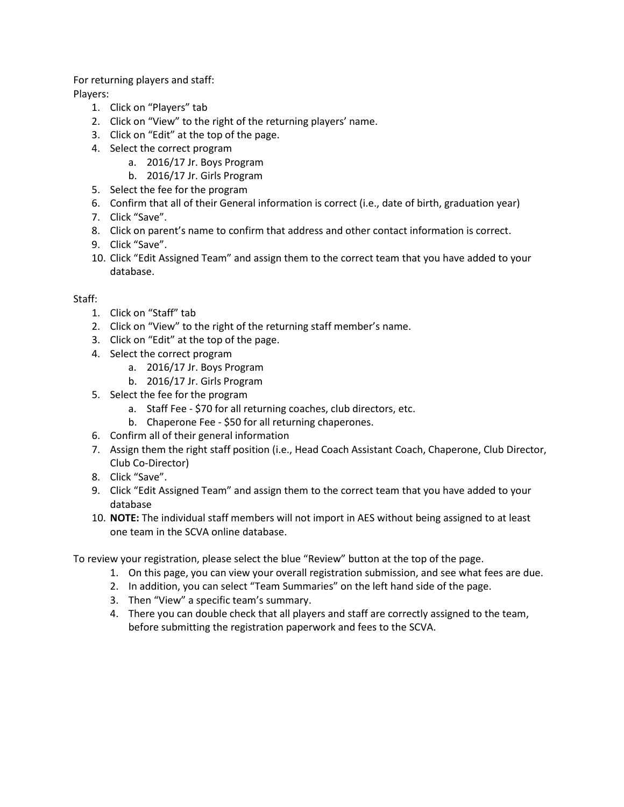For returning players and staff: Players:

- 1. Click on "Players" tab
- 2. Click on "View" to the right of the returning players' name.
- 3. Click on "Edit" at the top of the page.
- 4. Select the correct program
	- a. 2016/17 Jr. Boys Program
	- b. 2016/17 Jr. Girls Program
- 5. Select the fee for the program
- 6. Confirm that all of their General information is correct (i.e., date of birth, graduation year)
- 7. Click "Save".
- 8. Click on parent's name to confirm that address and other contact information is correct.
- 9. Click "Save".
- 10. Click "Edit Assigned Team" and assign them to the correct team that you have added to your database.

#### Staff:

- 1. Click on "Staff" tab
- 2. Click on "View" to the right of the returning staff member's name.
- 3. Click on "Edit" at the top of the page.
- 4. Select the correct program
	- a. 2016/17 Jr. Boys Program
		- b. 2016/17 Jr. Girls Program
- 5. Select the fee for the program
	- a. Staff Fee \$70 for all returning coaches, club directors, etc.
	- b. Chaperone Fee \$50 for all returning chaperones.
- 6. Confirm all of their general information
- 7. Assign them the right staff position (i.e., Head Coach Assistant Coach, Chaperone, Club Director, Club Co-Director)
- 8. Click "Save".
- 9. Click "Edit Assigned Team" and assign them to the correct team that you have added to your database
- 10. **NOTE:** The individual staff members will not import in AES without being assigned to at least one team in the SCVA online database.

To review your registration, please select the blue "Review" button at the top of the page.

- 1. On this page, you can view your overall registration submission, and see what fees are due.
- 2. In addition, you can select "Team Summaries" on the left hand side of the page.
- 3. Then "View" a specific team's summary.
- 4. There you can double check that all players and staff are correctly assigned to the team, before submitting the registration paperwork and fees to the SCVA.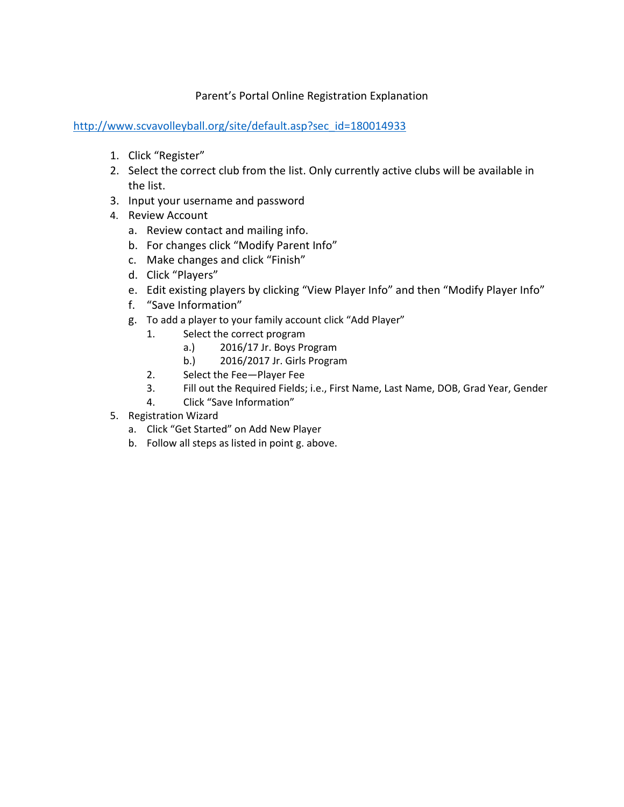#### Parent's Portal Online Registration Explanation

[http://www.scvavolleyball.org/site/default.asp?sec\\_id=180014933](http://www.scvavolleyball.org/site/default.asp?sec_id=180014933)

- 1. Click "Register"
- 2. Select the correct club from the list. Only currently active clubs will be available in the list.
- 3. Input your username and password
- 4. Review Account
	- a. Review contact and mailing info.
	- b. For changes click "Modify Parent Info"
	- c. Make changes and click "Finish"
	- d. Click "Players"
	- e. Edit existing players by clicking "View Player Info" and then "Modify Player Info"
	- f. "Save Information"
	- g. To add a player to your family account click "Add Player"
		- 1. Select the correct program
			- a.) 2016/17 Jr. Boys Program
			- b.) 2016/2017 Jr. Girls Program
		- 2. Select the Fee—Player Fee
		- 3. Fill out the Required Fields; i.e., First Name, Last Name, DOB, Grad Year, Gender
		- 4. Click "Save Information"
- 5. Registration Wizard
	- a. Click "Get Started" on Add New Player
	- b. Follow all steps as listed in point g. above.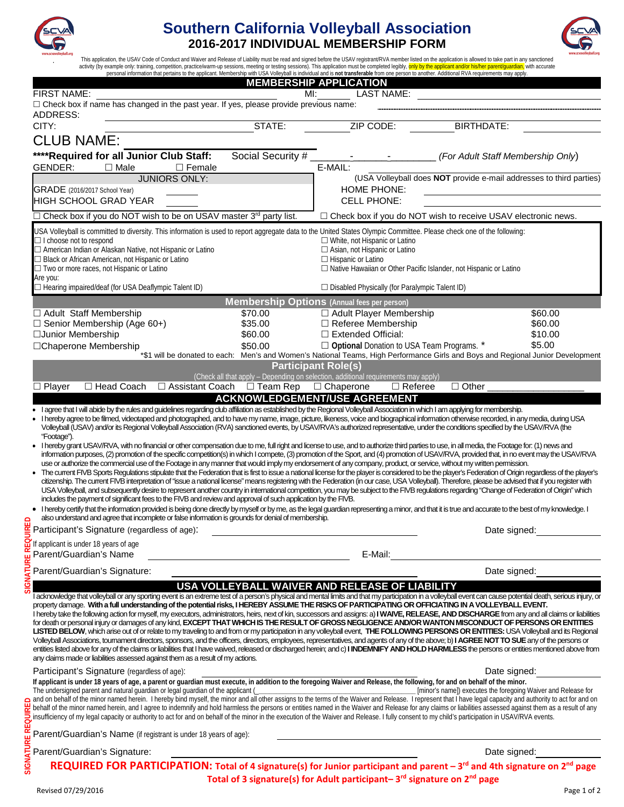

# **Southern California Volleyball Association 2016-2017 INDIVIDUAL MEMBERSHIP FORM**



This application, the USAV Code of Conduct and Waiver and Release of Liability must be read and signed before the USAV registrant/RVA member listed on the application is allowed to take part in any sanctioned<br>activity (by

|                                                                                                                                                                                                                                                                                                                                                                                                                                                                                                                                                                                                                                                                                                                                                                                                                                                                                                                                                                                                                                                                                                                                                                                                                                                                                                                                                                                                                                       | MI:                                                     | <b>MEMBERSHIP APPLICATION</b>                                                                                    |                                                                                                                                 |  |
|---------------------------------------------------------------------------------------------------------------------------------------------------------------------------------------------------------------------------------------------------------------------------------------------------------------------------------------------------------------------------------------------------------------------------------------------------------------------------------------------------------------------------------------------------------------------------------------------------------------------------------------------------------------------------------------------------------------------------------------------------------------------------------------------------------------------------------------------------------------------------------------------------------------------------------------------------------------------------------------------------------------------------------------------------------------------------------------------------------------------------------------------------------------------------------------------------------------------------------------------------------------------------------------------------------------------------------------------------------------------------------------------------------------------------------------|---------------------------------------------------------|------------------------------------------------------------------------------------------------------------------|---------------------------------------------------------------------------------------------------------------------------------|--|
| FIRST NAME:<br>□ Check box if name has changed in the past year. If yes, please provide previous name:                                                                                                                                                                                                                                                                                                                                                                                                                                                                                                                                                                                                                                                                                                                                                                                                                                                                                                                                                                                                                                                                                                                                                                                                                                                                                                                                |                                                         | <b>LAST NAME:</b>                                                                                                |                                                                                                                                 |  |
| ADDRESS:                                                                                                                                                                                                                                                                                                                                                                                                                                                                                                                                                                                                                                                                                                                                                                                                                                                                                                                                                                                                                                                                                                                                                                                                                                                                                                                                                                                                                              |                                                         |                                                                                                                  |                                                                                                                                 |  |
| CITY:                                                                                                                                                                                                                                                                                                                                                                                                                                                                                                                                                                                                                                                                                                                                                                                                                                                                                                                                                                                                                                                                                                                                                                                                                                                                                                                                                                                                                                 | STATE:                                                  | ZIP CODE:                                                                                                        | <b>BIRTHDATE:</b>                                                                                                               |  |
| <b>CLUB NAME:</b>                                                                                                                                                                                                                                                                                                                                                                                                                                                                                                                                                                                                                                                                                                                                                                                                                                                                                                                                                                                                                                                                                                                                                                                                                                                                                                                                                                                                                     |                                                         |                                                                                                                  |                                                                                                                                 |  |
| **** Required for all Junior Club Staff:                                                                                                                                                                                                                                                                                                                                                                                                                                                                                                                                                                                                                                                                                                                                                                                                                                                                                                                                                                                                                                                                                                                                                                                                                                                                                                                                                                                              | Social Security #                                       |                                                                                                                  | (For Adult Staff Membership Only)                                                                                               |  |
| GENDER:<br>$\Box$ Male<br>$\Box$ Female                                                                                                                                                                                                                                                                                                                                                                                                                                                                                                                                                                                                                                                                                                                                                                                                                                                                                                                                                                                                                                                                                                                                                                                                                                                                                                                                                                                               |                                                         | E-MAIL:                                                                                                          |                                                                                                                                 |  |
| <b>JUNIORS ONLY:</b>                                                                                                                                                                                                                                                                                                                                                                                                                                                                                                                                                                                                                                                                                                                                                                                                                                                                                                                                                                                                                                                                                                                                                                                                                                                                                                                                                                                                                  |                                                         |                                                                                                                  | (USA Volleyball does NOT provide e-mail addresses to third parties)                                                             |  |
| GRADE (2016/2017 School Year)                                                                                                                                                                                                                                                                                                                                                                                                                                                                                                                                                                                                                                                                                                                                                                                                                                                                                                                                                                                                                                                                                                                                                                                                                                                                                                                                                                                                         |                                                         | <b>HOME PHONE:</b>                                                                                               |                                                                                                                                 |  |
| <b>HIGH SCHOOL GRAD YEAR</b>                                                                                                                                                                                                                                                                                                                                                                                                                                                                                                                                                                                                                                                                                                                                                                                                                                                                                                                                                                                                                                                                                                                                                                                                                                                                                                                                                                                                          |                                                         | <b>CELL PHONE:</b>                                                                                               |                                                                                                                                 |  |
| □ Check box if you do NOT wish to be on USAV master 3 <sup>rd</sup> party list.                                                                                                                                                                                                                                                                                                                                                                                                                                                                                                                                                                                                                                                                                                                                                                                                                                                                                                                                                                                                                                                                                                                                                                                                                                                                                                                                                       |                                                         |                                                                                                                  | □ Check box if you do NOT wish to receive USAV electronic news.                                                                 |  |
| USA Volleyball is committed to diversity. This information is used to report aggregate data to the United States Olympic Committee. Please check one of the following:                                                                                                                                                                                                                                                                                                                                                                                                                                                                                                                                                                                                                                                                                                                                                                                                                                                                                                                                                                                                                                                                                                                                                                                                                                                                |                                                         |                                                                                                                  |                                                                                                                                 |  |
| □ I choose not to respond<br>□ American Indian or Alaskan Native, not Hispanic or Latino                                                                                                                                                                                                                                                                                                                                                                                                                                                                                                                                                                                                                                                                                                                                                                                                                                                                                                                                                                                                                                                                                                                                                                                                                                                                                                                                              |                                                         | $\Box$ White, not Hispanic or Latino<br>$\Box$ Asian, not Hispanic or Latino                                     |                                                                                                                                 |  |
| $\Box$ Black or African American, not Hispanic or Latino                                                                                                                                                                                                                                                                                                                                                                                                                                                                                                                                                                                                                                                                                                                                                                                                                                                                                                                                                                                                                                                                                                                                                                                                                                                                                                                                                                              |                                                         | $\Box$ Hispanic or Latino                                                                                        |                                                                                                                                 |  |
| □ Two or more races, not Hispanic or Latino                                                                                                                                                                                                                                                                                                                                                                                                                                                                                                                                                                                                                                                                                                                                                                                                                                                                                                                                                                                                                                                                                                                                                                                                                                                                                                                                                                                           |                                                         | $\Box$ Native Hawaiian or Other Pacific Islander, not Hispanic or Latino                                         |                                                                                                                                 |  |
| Are you:<br>$\Box$ Hearing impaired/deaf (for USA Deaflympic Talent ID)                                                                                                                                                                                                                                                                                                                                                                                                                                                                                                                                                                                                                                                                                                                                                                                                                                                                                                                                                                                                                                                                                                                                                                                                                                                                                                                                                               |                                                         | $\Box$ Disabled Physically (for Paralympic Talent ID)                                                            |                                                                                                                                 |  |
|                                                                                                                                                                                                                                                                                                                                                                                                                                                                                                                                                                                                                                                                                                                                                                                                                                                                                                                                                                                                                                                                                                                                                                                                                                                                                                                                                                                                                                       |                                                         |                                                                                                                  |                                                                                                                                 |  |
| □ Adult Staff Membership                                                                                                                                                                                                                                                                                                                                                                                                                                                                                                                                                                                                                                                                                                                                                                                                                                                                                                                                                                                                                                                                                                                                                                                                                                                                                                                                                                                                              | \$70.00                                                 | <b>Membership Options</b> (Annual fees per person)<br>□ Adult Player Membership                                  | \$60.00                                                                                                                         |  |
| $\Box$ Senior Membership (Age 60+)                                                                                                                                                                                                                                                                                                                                                                                                                                                                                                                                                                                                                                                                                                                                                                                                                                                                                                                                                                                                                                                                                                                                                                                                                                                                                                                                                                                                    | \$35.00                                                 | $\Box$ Referee Membership                                                                                        | \$60.00                                                                                                                         |  |
| □Junior Membership                                                                                                                                                                                                                                                                                                                                                                                                                                                                                                                                                                                                                                                                                                                                                                                                                                                                                                                                                                                                                                                                                                                                                                                                                                                                                                                                                                                                                    | \$60.00                                                 | $\Box$ Extended Official:                                                                                        | \$10.00                                                                                                                         |  |
| □Chaperone Membership                                                                                                                                                                                                                                                                                                                                                                                                                                                                                                                                                                                                                                                                                                                                                                                                                                                                                                                                                                                                                                                                                                                                                                                                                                                                                                                                                                                                                 | \$50.00                                                 | □ Optional Donation to USA Team Programs. *                                                                      | \$5.00                                                                                                                          |  |
|                                                                                                                                                                                                                                                                                                                                                                                                                                                                                                                                                                                                                                                                                                                                                                                                                                                                                                                                                                                                                                                                                                                                                                                                                                                                                                                                                                                                                                       |                                                         |                                                                                                                  | *\$1 will be donated to each: Men's and Women's National Teams, High Performance Girls and Boys and Regional Junior Development |  |
|                                                                                                                                                                                                                                                                                                                                                                                                                                                                                                                                                                                                                                                                                                                                                                                                                                                                                                                                                                                                                                                                                                                                                                                                                                                                                                                                                                                                                                       |                                                         | <b>Participant Role(s)</b><br>(Check all that apply - Depending on selection, additional requirements may apply) |                                                                                                                                 |  |
| □ Head Coach<br>$\Box$ Player                                                                                                                                                                                                                                                                                                                                                                                                                                                                                                                                                                                                                                                                                                                                                                                                                                                                                                                                                                                                                                                                                                                                                                                                                                                                                                                                                                                                         | $\Box$ Assistant Coach $\Box$ Team Rep $\Box$ Chaperone | $\Box$ Referee                                                                                                   | $\Box$ Other                                                                                                                    |  |
|                                                                                                                                                                                                                                                                                                                                                                                                                                                                                                                                                                                                                                                                                                                                                                                                                                                                                                                                                                                                                                                                                                                                                                                                                                                                                                                                                                                                                                       |                                                         | <b>ACKNOWLEDGEMENT/USE AGREEMENT</b>                                                                             |                                                                                                                                 |  |
| information purposes, (2) promotion of the specific competition(s) in which I compete, (3) promotion of the Sport, and (4) promotion of USAV/RVA, provided that, in no event may the USAV/RVA<br>use or authorize the commercial use of the Footage in any manner that would imply my endorsement of any company, product, or service, without my written permission.<br>• The current FIVB Sports Requlations stipulate that the Federation that is first to issue a national license for the player is considered to be the player's Federation of Origin regardless of the player's<br>citizenship. The current FIVB interpretation of "issue a national license" means registering with the Federation (in our case, USA Volleyball). Therefore, please be advised that if you register with<br>USA Volleyball, and subsequently desire to represent another country in international competition, you may be subject to the FIVB regulations regarding "Change of Federation of Origin" which<br>includes the payment of significant fees to the FIVB and review and approval of such application by the FIVB.<br>. I hereby certify that the information provided is being done directly by myself or by me, as the legal guardian representing a minor, and that it is true and accurate to the best of my knowledge. I<br>also understand and agree that incomplete or false information is grounds for denial of membership. |                                                         |                                                                                                                  |                                                                                                                                 |  |
| also understand and agree that incomplete or raise in the set of age):<br>Exercicipant's Signature (regardless of age):                                                                                                                                                                                                                                                                                                                                                                                                                                                                                                                                                                                                                                                                                                                                                                                                                                                                                                                                                                                                                                                                                                                                                                                                                                                                                                               |                                                         |                                                                                                                  | Date signed:                                                                                                                    |  |
| REQ<br>If applicant is under 18 years of age                                                                                                                                                                                                                                                                                                                                                                                                                                                                                                                                                                                                                                                                                                                                                                                                                                                                                                                                                                                                                                                                                                                                                                                                                                                                                                                                                                                          |                                                         |                                                                                                                  |                                                                                                                                 |  |
| Parent/Guardian's Name                                                                                                                                                                                                                                                                                                                                                                                                                                                                                                                                                                                                                                                                                                                                                                                                                                                                                                                                                                                                                                                                                                                                                                                                                                                                                                                                                                                                                |                                                         | E-Mail:                                                                                                          |                                                                                                                                 |  |
| Parent/Guardian's Signature:                                                                                                                                                                                                                                                                                                                                                                                                                                                                                                                                                                                                                                                                                                                                                                                                                                                                                                                                                                                                                                                                                                                                                                                                                                                                                                                                                                                                          |                                                         |                                                                                                                  | Date signed:                                                                                                                    |  |
|                                                                                                                                                                                                                                                                                                                                                                                                                                                                                                                                                                                                                                                                                                                                                                                                                                                                                                                                                                                                                                                                                                                                                                                                                                                                                                                                                                                                                                       |                                                         | USA VOLLEYBALL WAIVER AND RELEASE OF LIABILITY                                                                   |                                                                                                                                 |  |
| 7<br>I acknowledge that volleyball or any sporting event is an extreme test of a person's physical and mental limits and that my participation in a volleyball event can cause potential death, serious injury, or<br>property damage. With a full understanding of the potential risks, I HEREBY ASSUME THE RISKS OF PARTICIPATING OR OFFICIATING IN A VOLLEYBALL EVENT.<br>I hereby take the following action for myself, my executors, administrators, heirs, next of kin, successors and assigns: a) I WAIVE, RELEASE, AND DISCHARGE from any and all claims or liabilities<br>for death or personal injury or damages of any kind, EXCEPT THAT WHICH IS THE RESULT OF GROSS NEGLIGENCE AND/OR WANTON MISCONDUCT OF PERSONS OR ENTITIES<br>LISTED BELOW, which arise out of or relate to my traveling to and from or my participation in any volleyball event, THE FOLLOWING PERSONS OR ENTITIES: USA Volleyball and its Regional<br>Volleyball Associations, tournament directors, sponsors, and the officers, directors, employees, representatives, and agents of any of the above; b) I AGREE NOT TO SUE any of the persons or<br>entities listed above for any of the claims or liabilities that I have waived, released or discharged herein; and c) I INDEMNIFY AND HOLD HARMLESS the persons or entities mentioned above from<br>any claims made or liabilities assessed against them as a result of my actions.          |                                                         |                                                                                                                  |                                                                                                                                 |  |
| Participant's Signature (regardless of age):                                                                                                                                                                                                                                                                                                                                                                                                                                                                                                                                                                                                                                                                                                                                                                                                                                                                                                                                                                                                                                                                                                                                                                                                                                                                                                                                                                                          |                                                         |                                                                                                                  | Date signed:                                                                                                                    |  |
| If applicant is under 18 years of age, a parent or guardian must execute, in addition to the foregoing Waiver and Release, the following, for and on behalf of the minor.<br>The undersigned parent and natural quardian or legal guardian of the applicant (<br>and on behalf of the minor named herein. I hereby bind myself, the minor and all other assigns to the terms of the Waiver and Release. I represent that I have legal capacity and authority to act for and on<br>SIGNATURE REQUIRE<br>behalf of the minor named herein, and I agree to indemnify and hold harmless the persons or entities named in the Waiver and Release for any claims or liabilities assessed against them as a result of any<br>insufficiency of my legal capacity or authority to act for and on behalf of the minor in the execution of the Waiver and Release. I fully consent to my child's participation in USAV/RVA events.                                                                                                                                                                                                                                                                                                                                                                                                                                                                                                               |                                                         |                                                                                                                  | [minor's name]) executes the foregoing Waiver and Release for                                                                   |  |
| Parent/Guardian's Name (if registrant is under 18 years of age):                                                                                                                                                                                                                                                                                                                                                                                                                                                                                                                                                                                                                                                                                                                                                                                                                                                                                                                                                                                                                                                                                                                                                                                                                                                                                                                                                                      |                                                         |                                                                                                                  |                                                                                                                                 |  |
| Parent/Guardian's Signature:                                                                                                                                                                                                                                                                                                                                                                                                                                                                                                                                                                                                                                                                                                                                                                                                                                                                                                                                                                                                                                                                                                                                                                                                                                                                                                                                                                                                          |                                                         |                                                                                                                  | Date signed:                                                                                                                    |  |
| REQUIRED FOR PARTICIPATION: Total of 4 signature(s) for Junior participant and parent - 3rd and 4th signature on 2nd page                                                                                                                                                                                                                                                                                                                                                                                                                                                                                                                                                                                                                                                                                                                                                                                                                                                                                                                                                                                                                                                                                                                                                                                                                                                                                                             |                                                         |                                                                                                                  |                                                                                                                                 |  |
|                                                                                                                                                                                                                                                                                                                                                                                                                                                                                                                                                                                                                                                                                                                                                                                                                                                                                                                                                                                                                                                                                                                                                                                                                                                                                                                                                                                                                                       |                                                         | Total of 3 signature(s) for Adult participant-3 <sup>rd</sup> signature on 2 <sup>nd</sup> page                  |                                                                                                                                 |  |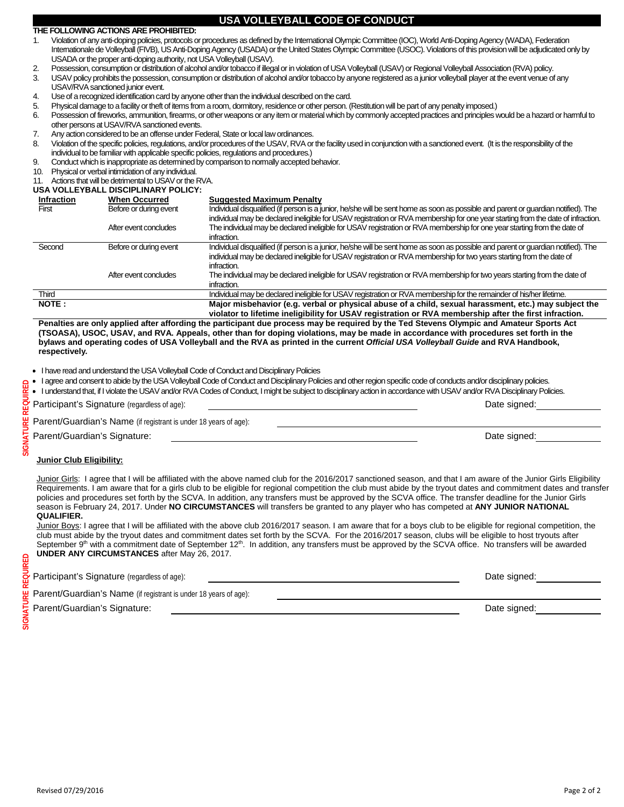#### **THE FOLLOWING ACTIONS ARE PROHIBITED:**

- 1. Violation of any anti-doping policies, protocols or procedures as defined by the International Olympic Committee (IOC), World Anti-Doping Agency (WADA), Federation Internationale de Volleyball (FIVB), US Anti-Doping Agency (USADA) or the United States Olympic Committee (USOC). Violations of this provision will be adjudicated only by USADA or the proper anti-doping authority, not USA Volleyball (USAV).
- 2. Possession, consumption or distribution of alcohol and/or tobacco if illegal or in violation of USA Volleyball (USAV) or Regional Volleyball Association (RVA) policy.
- 3. USAV policy prohibits the possession, consumption or distribution of alcohol and/or tobacco by anyone registered as a junior volleyball player at the event venue of any USAV/RVA sanctioned junior event.
- 4. Use of a recognized identification card by anyone other than the individual described on the card.<br>5. Physical damage to a facility or theft of items from a room, dormitory, residence or other person. (I
- 5. Physical damage to a facility or theft of items from a room, dormitory, residence or other person. (Restitution will be part of any penalty imposed.)<br>6. Possession of fireworks, ammunition, firearms, or other weapons or
- Possession of fireworks, ammunition, firearms, or other weapons or any item or material which by commonly accepted practices and principles would be a hazard or harmful to other persons at USAV/RVA sanctioned events.
- 7. Any action considered to be an offense under Federal, State or local law ordinances.
- 8. Violation of the specific policies, regulations, and/or procedures of the USAV, RVA or the facility used in conjunction with a sanctioned event. (It is the responsibility of the individual to be familiar with applicable specific policies, regulations and procedures.)
- 9. Conduct which is inappropriate as determined by comparison to normally accepted behavior.
- 10. Physical or verbal intimidation of any individual.
- 11. Actions that will be detrimental to USAV or the RVA.
- **USA VOLLEYBALL DISCIPLINARY POLICY:**

| <b>Infraction</b> | <b>When Occurred</b>   | <b>Suggested Maximum Penalty</b>                                                                                                                                                                                                                                           |
|-------------------|------------------------|----------------------------------------------------------------------------------------------------------------------------------------------------------------------------------------------------------------------------------------------------------------------------|
| First             | Before or during event | Individual disqualified (if person is a junior, he/she will be sent home as soon as possible and parent or quardian notified). The<br>individual may be declared ineligible for USAV registration or RVA membership for one year starting from the date of infraction.     |
|                   | After event concludes  | The individual may be declared ineligible for USAV registration or RVA membership for one year starting from the date of<br>infraction.                                                                                                                                    |
| Second            | Before or during event | Individual disqualified (if person is a junior, he/she will be sent home as soon as possible and parent or quardian notified). The<br>individual may be declared ineligible for USAV registration or RVA membership for two years starting from the date of<br>infraction. |
|                   | After event concludes  | The individual may be declared ineligible for USAV registration or RVA membership for two years starting from the date of<br>infraction.                                                                                                                                   |
| Third             |                        | Individual may be declared ineligible for USAV registration or RVA membership for the remainder of his/her lifetime.                                                                                                                                                       |
| NOTE:             |                        | Major misbehavior (e.g. verbal or physical abuse of a child, sexual harassment, etc.) may subject the<br>violator to lifetime ineligibility for USAV registration or RVA membership after the first infraction.                                                            |

**Penalties are only applied after affording the participant due process may be required by the Ted Stevens Olympic and Amateur Sports Act (TSOASA), USOC, USAV, and RVA. Appeals, other than for doping violations, may be made in accordance with procedures set forth in the bylaws and operating codes of USA Volleyball and the RVA as printed in the current** *Official USA Volleyball Guide* **and RVA Handbook, respectively***.*

- I have read and understand the USA Volleyball Code of Conduct and Disciplinary Policies
- I agree and consent to abide by the USA Volleyball Code of Conduct and Disciplinary Policies and other region specific code of conducts and/or disciplinary policies.
- I understand that, if I violate the USAV and/or RVA Codes of Conduct, I might be subject to disciplinary action in accordance with USAV and/or RVA Disciplinary Policies.

| Participant's Signature (regardless of age):                     | Date signed: |
|------------------------------------------------------------------|--------------|
| Parent/Guardian's Name (if registrant is under 18 years of age): |              |
| Parent/Guardian's Signature:                                     | Date signed: |

### **Junior Club Eligibility:**

Junior Girls: I agree that I will be affiliated with the above named club for the 2016/2017 sanctioned season, and that I am aware of the Junior Girls Eligibility Requirements. I am aware that for a girls club to be eligible for regional competition the club must abide by the tryout dates and commitment dates and transfer policies and procedures set forth by the SCVA. In addition, any transfers must be approved by the SCVA office. The transfer deadline for the Junior Girls season is February 24, 2017. Under **NO CIRCUMSTANCES** will transfers be granted to any player who has competed at **ANY JUNIOR NATIONAL QUALIFIER.**

Junior Boys: I agree that I will be affiliated with the above club 2016/2017 season. I am aware that for a boys club to be eligible for regional competition, the club must abide by the tryout dates and commitment dates set forth by the SCVA. For the 2016/2017 season, clubs will be eligible to host tryouts after September 9<sup>th</sup> with a commitment date of September 12<sup>th</sup>. In addition, any transfers must be approved by the SCVA office. No transfers will be awarded **UNDER ANY CIRCUMSTANCES** after May 26, 2017.

| Participant's Signature (regardless of age):                            | Date signed: |
|-------------------------------------------------------------------------|--------------|
| <b>Parent/Guardian's Name</b> (if registrant is under 18 years of age): |              |
| Parent/Guardian's Signature:                                            | Date signed: |

SIGNATURE REQUIRED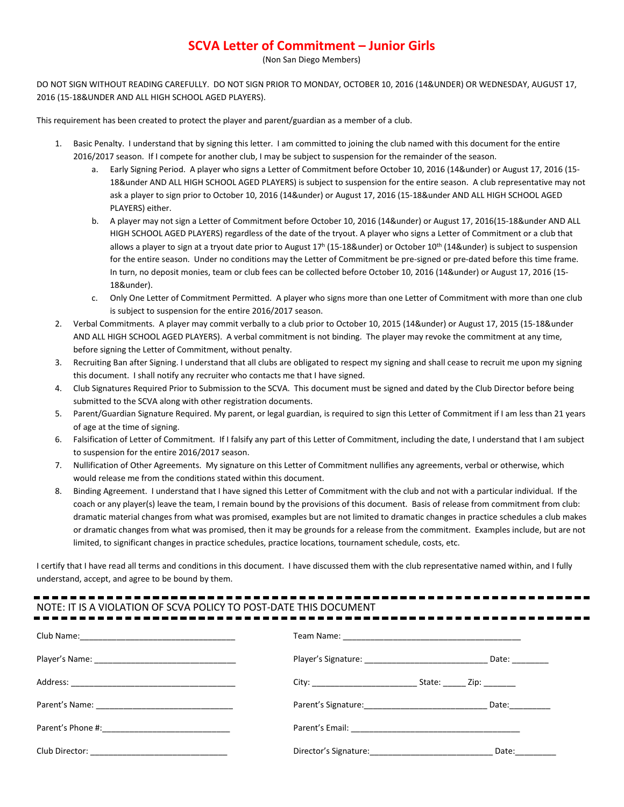# **SCVA Letter of Commitment – Junior Girls**

(Non San Diego Members)

DO NOT SIGN WITHOUT READING CAREFULLY. DO NOT SIGN PRIOR TO MONDAY, OCTOBER 10, 2016 (14&UNDER) OR WEDNESDAY, AUGUST 17, 2016 (15-18&UNDER AND ALL HIGH SCHOOL AGED PLAYERS).

This requirement has been created to protect the player and parent/guardian as a member of a club.

- 1. Basic Penalty. I understand that by signing this letter. I am committed to joining the club named with this document for the entire 2016/2017 season. If I compete for another club, I may be subject to suspension for the remainder of the season.
	- a. Early Signing Period. A player who signs a Letter of Commitment before October 10, 2016 (14&under) or August 17, 2016 (15- 18&under AND ALL HIGH SCHOOL AGED PLAYERS) is subject to suspension for the entire season. A club representative may not ask a player to sign prior to October 10, 2016 (14&under) or August 17, 2016 (15-18&under AND ALL HIGH SCHOOL AGED PLAYERS) either.
	- b. A player may not sign a Letter of Commitment before October 10, 2016 (14&under) or August 17, 2016(15-18&under AND ALL HIGH SCHOOL AGED PLAYERS) regardless of the date of the tryout. A player who signs a Letter of Commitment or a club that allows a player to sign at a tryout date prior to August  $17^h$  (15-18&under) or October 10<sup>th</sup> (14&under) is subject to suspension for the entire season. Under no conditions may the Letter of Commitment be pre-signed or pre-dated before this time frame. In turn, no deposit monies, team or club fees can be collected before October 10, 2016 (14&under) or August 17, 2016 (15- 18&under).
	- c. Only One Letter of Commitment Permitted. A player who signs more than one Letter of Commitment with more than one club is subject to suspension for the entire 2016/2017 season.
- 2. Verbal Commitments. A player may commit verbally to a club prior to October 10, 2015 (14&under) or August 17, 2015 (15-18&under AND ALL HIGH SCHOOL AGED PLAYERS). A verbal commitment is not binding. The player may revoke the commitment at any time, before signing the Letter of Commitment, without penalty.
- 3. Recruiting Ban after Signing. I understand that all clubs are obligated to respect my signing and shall cease to recruit me upon my signing this document. I shall notify any recruiter who contacts me that I have signed.
- 4. Club Signatures Required Prior to Submission to the SCVA. This document must be signed and dated by the Club Director before being submitted to the SCVA along with other registration documents.
- 5. Parent/Guardian Signature Required. My parent, or legal guardian, is required to sign this Letter of Commitment if I am less than 21 years of age at the time of signing.
- 6. Falsification of Letter of Commitment. If I falsify any part of this Letter of Commitment, including the date, I understand that I am subject to suspension for the entire 2016/2017 season.
- 7. Nullification of Other Agreements. My signature on this Letter of Commitment nullifies any agreements, verbal or otherwise, which would release me from the conditions stated within this document.
- 8. Binding Agreement. I understand that I have signed this Letter of Commitment with the club and not with a particular individual. If the coach or any player(s) leave the team, I remain bound by the provisions of this document. Basis of release from commitment from club: dramatic material changes from what was promised, examples but are not limited to dramatic changes in practice schedules a club makes or dramatic changes from what was promised, then it may be grounds for a release from the commitment. Examples include, but are not limited, to significant changes in practice schedules, practice locations, tournament schedule, costs, etc.

I certify that I have read all terms and conditions in this document. I have discussed them with the club representative named within, and I fully understand, accept, and agree to be bound by them.

# NOTE: IT IS A VIOLATION OF SCVA POLICY TO POST-DATE THIS DOCUMENT

| Player's Signature: __________________________________ Date: ___________  |                                                                                                                                                                                                                                |
|---------------------------------------------------------------------------|--------------------------------------------------------------------------------------------------------------------------------------------------------------------------------------------------------------------------------|
| State: <u>Zip:</u>                                                        |                                                                                                                                                                                                                                |
| Parent's Signature: __________________________________ Date: ____________ |                                                                                                                                                                                                                                |
|                                                                           |                                                                                                                                                                                                                                |
|                                                                           | Date: the control of the control of the control of the control of the control of the control of the control of the control of the control of the control of the control of the control of the control of the control of the co |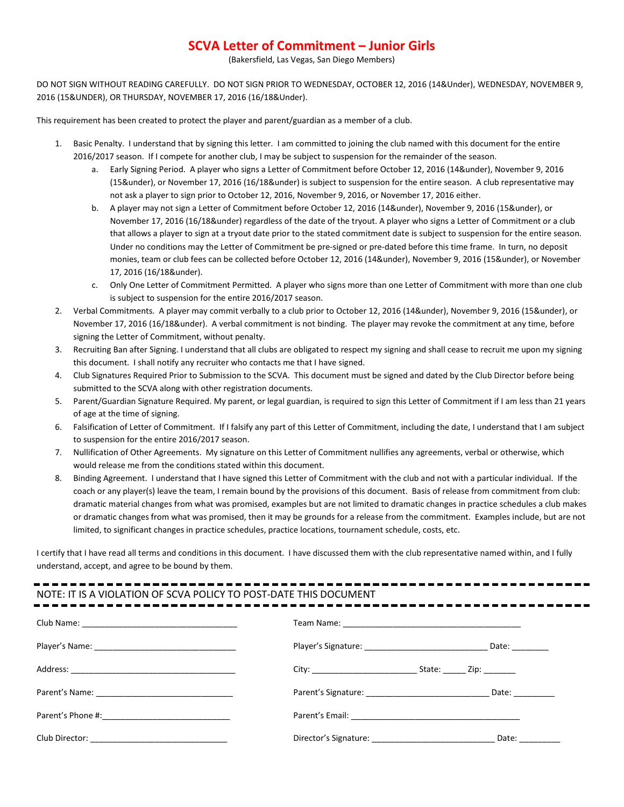## **SCVA Letter of Commitment – Junior Girls**

(Bakersfield, Las Vegas, San Diego Members)

DO NOT SIGN WITHOUT READING CAREFULLY. DO NOT SIGN PRIOR TO WEDNESDAY, OCTOBER 12, 2016 (14&Under), WEDNESDAY, NOVEMBER 9, 2016 (15&UNDER), OR THURSDAY, NOVEMBER 17, 2016 (16/18&Under).

This requirement has been created to protect the player and parent/guardian as a member of a club.

- 1. Basic Penalty. I understand that by signing this letter. I am committed to joining the club named with this document for the entire 2016/2017 season. If I compete for another club, I may be subject to suspension for the remainder of the season.
	- a. Early Signing Period. A player who signs a Letter of Commitment before October 12, 2016 (14&under), November 9, 2016 (15&under), or November 17, 2016 (16/18&under) is subject to suspension for the entire season. A club representative may not ask a player to sign prior to October 12, 2016, November 9, 2016, or November 17, 2016 either.
	- b. A player may not sign a Letter of Commitment before October 12, 2016 (14&under), November 9, 2016 (15&under), or November 17, 2016 (16/18&under) regardless of the date of the tryout. A player who signs a Letter of Commitment or a club that allows a player to sign at a tryout date prior to the stated commitment date is subject to suspension for the entire season. Under no conditions may the Letter of Commitment be pre-signed or pre-dated before this time frame. In turn, no deposit monies, team or club fees can be collected before October 12, 2016 (14&under), November 9, 2016 (15&under), or November 17, 2016 (16/18&under).
	- c. Only One Letter of Commitment Permitted. A player who signs more than one Letter of Commitment with more than one club is subject to suspension for the entire 2016/2017 season.
- 2. Verbal Commitments. A player may commit verbally to a club prior to October 12, 2016 (14&under), November 9, 2016 (15&under), or November 17, 2016 (16/18&under). A verbal commitment is not binding. The player may revoke the commitment at any time, before signing the Letter of Commitment, without penalty.
- 3. Recruiting Ban after Signing. I understand that all clubs are obligated to respect my signing and shall cease to recruit me upon my signing this document. I shall notify any recruiter who contacts me that I have signed.
- 4. Club Signatures Required Prior to Submission to the SCVA. This document must be signed and dated by the Club Director before being submitted to the SCVA along with other registration documents.
- 5. Parent/Guardian Signature Required. My parent, or legal guardian, is required to sign this Letter of Commitment if I am less than 21 years of age at the time of signing.
- 6. Falsification of Letter of Commitment. If I falsify any part of this Letter of Commitment, including the date, I understand that I am subject to suspension for the entire 2016/2017 season.
- 7. Nullification of Other Agreements. My signature on this Letter of Commitment nullifies any agreements, verbal or otherwise, which would release me from the conditions stated within this document.
- 8. Binding Agreement. I understand that I have signed this Letter of Commitment with the club and not with a particular individual. If the coach or any player(s) leave the team, I remain bound by the provisions of this document. Basis of release from commitment from club: dramatic material changes from what was promised, examples but are not limited to dramatic changes in practice schedules a club makes or dramatic changes from what was promised, then it may be grounds for a release from the commitment. Examples include, but are not limited, to significant changes in practice schedules, practice locations, tournament schedule, costs, etc.

I certify that I have read all terms and conditions in this document. I have discussed them with the club representative named within, and I fully understand, accept, and agree to be bound by them.

# NOTE: IT IS A VIOLATION OF SCVA POLICY TO POST-DATE THIS DOCUMENT

|                         | Date: $\_\_$     |
|-------------------------|------------------|
| City: City: State: Zip: |                  |
|                         | Date: __________ |
|                         |                  |
|                         | Date: ______     |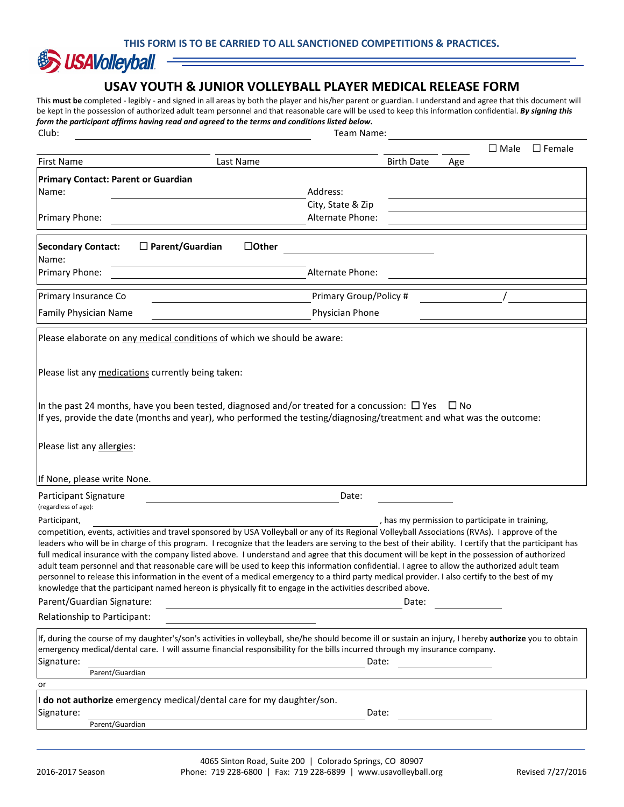

#### **USAV YOUTH & JUNIOR VOLLEYBALL PLAYER MEDICAL RELEASE FORM**

This **must be** completed - legibly - and signed in all areas by both the player and his/her parent or guardian. I understand and agree that this document will be kept in the possession of authorized adult team personnel and that reasonable care will be used to keep this information confidential. *By signing this form the participant affirms having read and agreed to the terms and conditions listed below.* Club: Team Name:

|                                                    |                                                                                                                                                                                                                                                                                                                                                                                                                                                                                                                                                                                                                                                                                                                                                                                                                                                                           |                                                 |              | $\Box$ Male | $\Box$ Female |
|----------------------------------------------------|---------------------------------------------------------------------------------------------------------------------------------------------------------------------------------------------------------------------------------------------------------------------------------------------------------------------------------------------------------------------------------------------------------------------------------------------------------------------------------------------------------------------------------------------------------------------------------------------------------------------------------------------------------------------------------------------------------------------------------------------------------------------------------------------------------------------------------------------------------------------------|-------------------------------------------------|--------------|-------------|---------------|
| <b>First Name</b>                                  | Last Name                                                                                                                                                                                                                                                                                                                                                                                                                                                                                                                                                                                                                                                                                                                                                                                                                                                                 | <b>Birth Date</b>                               | Age          |             |               |
| <b>Primary Contact: Parent or Guardian</b>         |                                                                                                                                                                                                                                                                                                                                                                                                                                                                                                                                                                                                                                                                                                                                                                                                                                                                           |                                                 |              |             |               |
| Name:                                              | Address:                                                                                                                                                                                                                                                                                                                                                                                                                                                                                                                                                                                                                                                                                                                                                                                                                                                                  |                                                 |              |             |               |
|                                                    | City, State & Zip                                                                                                                                                                                                                                                                                                                                                                                                                                                                                                                                                                                                                                                                                                                                                                                                                                                         |                                                 |              |             |               |
| Primary Phone:                                     | Alternate Phone:                                                                                                                                                                                                                                                                                                                                                                                                                                                                                                                                                                                                                                                                                                                                                                                                                                                          |                                                 |              |             |               |
| <b>Secondary Contact:</b>                          | $\Box$ Other<br>$\Box$ Parent/Guardian                                                                                                                                                                                                                                                                                                                                                                                                                                                                                                                                                                                                                                                                                                                                                                                                                                    |                                                 |              |             |               |
| Name:                                              | Alternate Phone:                                                                                                                                                                                                                                                                                                                                                                                                                                                                                                                                                                                                                                                                                                                                                                                                                                                          |                                                 |              |             |               |
| Primary Phone:                                     |                                                                                                                                                                                                                                                                                                                                                                                                                                                                                                                                                                                                                                                                                                                                                                                                                                                                           |                                                 |              |             |               |
| Primary Insurance Co                               | Primary Group/Policy #                                                                                                                                                                                                                                                                                                                                                                                                                                                                                                                                                                                                                                                                                                                                                                                                                                                    |                                                 |              |             |               |
| Family Physician Name                              | Physician Phone                                                                                                                                                                                                                                                                                                                                                                                                                                                                                                                                                                                                                                                                                                                                                                                                                                                           |                                                 |              |             |               |
|                                                    | Please elaborate on any medical conditions of which we should be aware:                                                                                                                                                                                                                                                                                                                                                                                                                                                                                                                                                                                                                                                                                                                                                                                                   |                                                 |              |             |               |
| Please list any medications currently being taken: |                                                                                                                                                                                                                                                                                                                                                                                                                                                                                                                                                                                                                                                                                                                                                                                                                                                                           |                                                 |              |             |               |
|                                                    | In the past 24 months, have you been tested, diagnosed and/or treated for a concussion: $\Box$ Yes<br>If yes, provide the date (months and year), who performed the testing/diagnosing/treatment and what was the outcome:                                                                                                                                                                                                                                                                                                                                                                                                                                                                                                                                                                                                                                                |                                                 | $\square$ No |             |               |
| Please list any allergies:                         |                                                                                                                                                                                                                                                                                                                                                                                                                                                                                                                                                                                                                                                                                                                                                                                                                                                                           |                                                 |              |             |               |
| If None, please write None.                        |                                                                                                                                                                                                                                                                                                                                                                                                                                                                                                                                                                                                                                                                                                                                                                                                                                                                           |                                                 |              |             |               |
| Participant Signature<br>(regardless of age):      | Date:                                                                                                                                                                                                                                                                                                                                                                                                                                                                                                                                                                                                                                                                                                                                                                                                                                                                     |                                                 |              |             |               |
| Participant,                                       | competition, events, activities and travel sponsored by USA Volleyball or any of its Regional Volleyball Associations (RVAs). I approve of the<br>leaders who will be in charge of this program. I recognize that the leaders are serving to the best of their ability. I certify that the participant has<br>full medical insurance with the company listed above. I understand and agree that this document will be kept in the possession of authorized<br>adult team personnel and that reasonable care will be used to keep this information confidential. I agree to allow the authorized adult team<br>personnel to release this information in the event of a medical emergency to a third party medical provider. I also certify to the best of my<br>knowledge that the participant named hereon is physically fit to engage in the activities described above. | , has my permission to participate in training, |              |             |               |
| Parent/Guardian Signature:                         |                                                                                                                                                                                                                                                                                                                                                                                                                                                                                                                                                                                                                                                                                                                                                                                                                                                                           | Date:                                           |              |             |               |
| Relationship to Participant:                       |                                                                                                                                                                                                                                                                                                                                                                                                                                                                                                                                                                                                                                                                                                                                                                                                                                                                           |                                                 |              |             |               |
| Signature:<br>Parent/Guardian                      | If, during the course of my daughter's/son's activities in volleyball, she/he should become ill or sustain an injury, I hereby authorize you to obtain<br>emergency medical/dental care. I will assume financial responsibility for the bills incurred through my insurance company.                                                                                                                                                                                                                                                                                                                                                                                                                                                                                                                                                                                      | Date:                                           |              |             |               |
| or                                                 |                                                                                                                                                                                                                                                                                                                                                                                                                                                                                                                                                                                                                                                                                                                                                                                                                                                                           |                                                 |              |             |               |
| Signature:<br>Parent/Guardian                      | do not authorize emergency medical/dental care for my daughter/son.                                                                                                                                                                                                                                                                                                                                                                                                                                                                                                                                                                                                                                                                                                                                                                                                       | Date:                                           |              |             |               |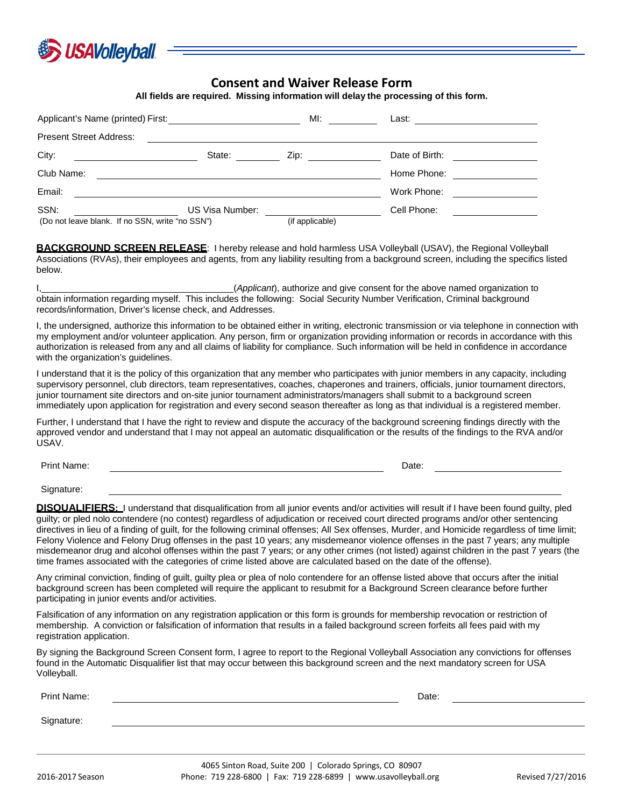

#### **Consent and Waiver Release Form**

**All fields are required. Missing information will delay the processing of this form.**

| Applicant's Name (printed) First:               |                 | MI:                                                                                                                                                                                                                            | Last:          |
|-------------------------------------------------|-----------------|--------------------------------------------------------------------------------------------------------------------------------------------------------------------------------------------------------------------------------|----------------|
| <b>Present Street Address:</b>                  |                 |                                                                                                                                                                                                                                |                |
| City:                                           | State:          | Zip: the contract of the contract of the contract of the contract of the contract of the contract of the contract of the contract of the contract of the contract of the contract of the contract of the contract of the contr | Date of Birth: |
| Club Name:                                      |                 |                                                                                                                                                                                                                                | Home Phone:    |
| Email:                                          |                 |                                                                                                                                                                                                                                | Work Phone:    |
| SSN:                                            | US Visa Number: |                                                                                                                                                                                                                                | Cell Phone:    |
| (Do not leave blank. If no SSN, write "no SSN") |                 | (if applicable)                                                                                                                                                                                                                |                |

**BACKGROUND SCREEN RELEASE**: I hereby release and hold harmless USA Volleyball (USAV), the Regional Volleyball Associations (RVAs), their employees and agents, from any liability resulting from a background screen, including the specifics listed below.

I, (*Applicant*), authorize and give consent for the above named organization to obtain information regarding myself. This includes the following: Social Security Number Verification, Criminal background records/information, Driver's license check, and Addresses.

I, the undersigned, authorize this information to be obtained either in writing, electronic transmission or via telephone in connection with my employment and/or volunteer application. Any person, firm or organization providing information or records in accordance with this authorization is released from any and all claims of liability for compliance. Such information will be held in confidence in accordance with the organization's guidelines.

I understand that it is the policy of this organization that any member who participates with junior members in any capacity, including supervisory personnel, club directors, team representatives, coaches, chaperones and trainers, officials, junior tournament directors, junior tournament site directors and on-site junior tournament administrators/managers shall submit to a background screen immediately upon application for registration and every second season thereafter as long as that individual is a registered member.

Further, I understand that I have the right to review and dispute the accuracy of the background screening findings directly with the approved vendor and understand that I may not appeal an automatic disqualification or the results of the findings to the RVA and/or USAV.

Print Name: Date:

Signature:

**DISQUALIFIERS:** I understand that disqualification from all junior events and/or activities will result if I have been found guilty, pled guilty; or pled nolo contendere (no contest) regardless of adjudication or received court directed programs and/or other sentencing directives in lieu of a finding of guilt, for the following criminal offenses; All Sex offenses, Murder, and Homicide regardless of time limit; Felony Violence and Felony Drug offenses in the past 10 years; any misdemeanor violence offenses in the past 7 years; any multiple misdemeanor drug and alcohol offenses within the past 7 years; or any other crimes (not listed) against children in the past 7 years (the time frames associated with the categories of crime listed above are calculated based on the date of the offense).

Any criminal conviction, finding of guilt, guilty plea or plea of nolo contendere for an offense listed above that occurs after the initial background screen has been completed will require the applicant to resubmit for a Background Screen clearance before further participating in junior events and/or activities.

Falsification of any information on any registration application or this form is grounds for membership revocation or restriction of membership. A conviction or falsification of information that results in a failed background screen forfeits all fees paid with my registration application.

By signing the Background Screen Consent form, I agree to report to the Regional Volleyball Association any convictions for offenses found in the Automatic Disqualifier list that may occur between this background screen and the next mandatory screen for USA Volleyball.

| Print Name: | Date: |  |
|-------------|-------|--|
| Signature:  |       |  |
|             |       |  |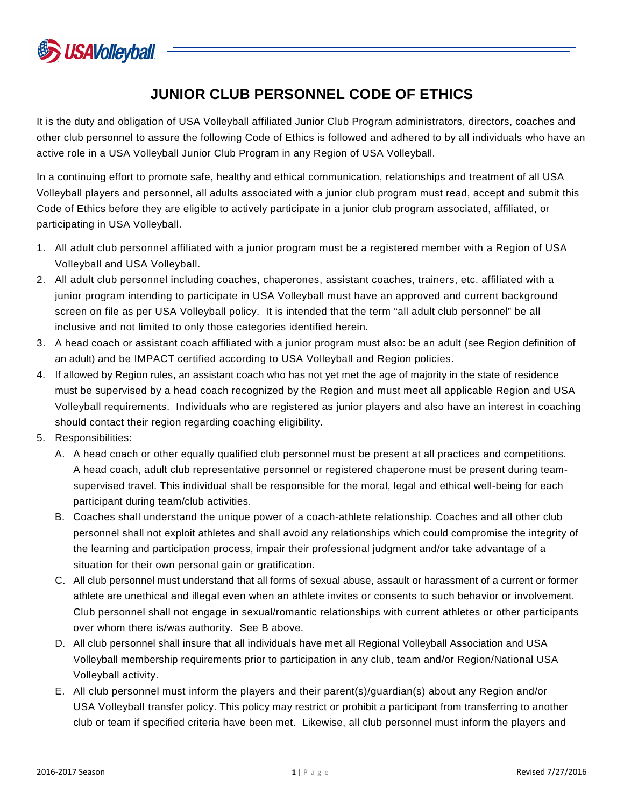

# **JUNIOR CLUB PERSONNEL CODE OF ETHICS**

It is the duty and obligation of USA Volleyball affiliated Junior Club Program administrators, directors, coaches and other club personnel to assure the following Code of Ethics is followed and adhered to by all individuals who have an active role in a USA Volleyball Junior Club Program in any Region of USA Volleyball.

In a continuing effort to promote safe, healthy and ethical communication, relationships and treatment of all USA Volleyball players and personnel, all adults associated with a junior club program must read, accept and submit this Code of Ethics before they are eligible to actively participate in a junior club program associated, affiliated, or participating in USA Volleyball.

- 1. All adult club personnel affiliated with a junior program must be a registered member with a Region of USA Volleyball and USA Volleyball.
- 2. All adult club personnel including coaches, chaperones, assistant coaches, trainers, etc. affiliated with a junior program intending to participate in USA Volleyball must have an approved and current background screen on file as per USA Volleyball policy. It is intended that the term "all adult club personnel" be all inclusive and not limited to only those categories identified herein.
- 3. A head coach or assistant coach affiliated with a junior program must also: be an adult (see Region definition of an adult) and be IMPACT certified according to USA Volleyball and Region policies.
- 4. If allowed by Region rules, an assistant coach who has not yet met the age of majority in the state of residence must be supervised by a head coach recognized by the Region and must meet all applicable Region and USA Volleyball requirements. Individuals who are registered as junior players and also have an interest in coaching should contact their region regarding coaching eligibility.
- 5. Responsibilities:
	- A. A head coach or other equally qualified club personnel must be present at all practices and competitions. A head coach, adult club representative personnel or registered chaperone must be present during teamsupervised travel. This individual shall be responsible for the moral, legal and ethical well-being for each participant during team/club activities.
	- B. Coaches shall understand the unique power of a coach-athlete relationship. Coaches and all other club personnel shall not exploit athletes and shall avoid any relationships which could compromise the integrity of the learning and participation process, impair their professional judgment and/or take advantage of a situation for their own personal gain or gratification.
	- C. All club personnel must understand that all forms of sexual abuse, assault or harassment of a current or former athlete are unethical and illegal even when an athlete invites or consents to such behavior or involvement. Club personnel shall not engage in sexual/romantic relationships with current athletes or other participants over whom there is/was authority. See B above.
	- D. All club personnel shall insure that all individuals have met all Regional Volleyball Association and USA Volleyball membership requirements prior to participation in any club, team and/or Region/National USA Volleyball activity.
	- E. All club personnel must inform the players and their parent(s)/guardian(s) about any Region and/or USA Volleyball transfer policy. This policy may restrict or prohibit a participant from transferring to another club or team if specified criteria have been met. Likewise, all club personnel must inform the players and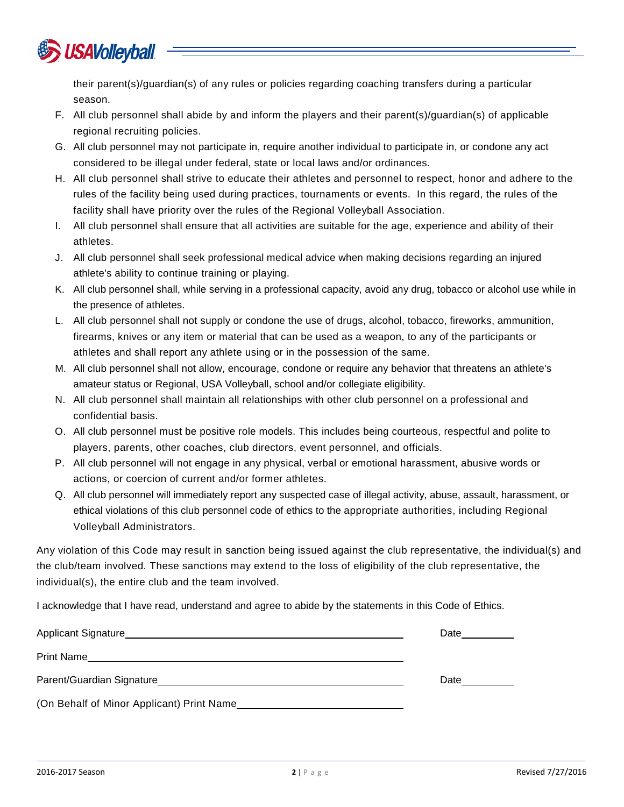

their parent(s)/guardian(s) of any rules or policies regarding coaching transfers during a particular season.

- F. All club personnel shall abide by and inform the players and their parent(s)/guardian(s) of applicable regional recruiting policies.
- G. All club personnel may not participate in, require another individual to participate in, or condone any act considered to be illegal under federal, state or local laws and/or ordinances.
- H. All club personnel shall strive to educate their athletes and personnel to respect, honor and adhere to the rules of the facility being used during practices, tournaments or events. In this regard, the rules of the facility shall have priority over the rules of the Regional Volleyball Association.
- I. All club personnel shall ensure that all activities are suitable for the age, experience and ability of their athletes.
- J. All club personnel shall seek professional medical advice when making decisions regarding an injured athlete's ability to continue training or playing.
- K. All club personnel shall, while serving in a professional capacity, avoid any drug, tobacco or alcohol use while in the presence of athletes.
- L. All club personnel shall not supply or condone the use of drugs, alcohol, tobacco, fireworks, ammunition, firearms, knives or any item or material that can be used as a weapon, to any of the participants or athletes and shall report any athlete using or in the possession of the same.
- M. All club personnel shall not allow, encourage, condone or require any behavior that threatens an athlete's amateur status or Regional, USA Volleyball, school and/or collegiate eligibility.
- N. All club personnel shall maintain all relationships with other club personnel on a professional and confidential basis.
- O. All club personnel must be positive role models. This includes being courteous, respectful and polite to players, parents, other coaches, club directors, event personnel, and officials.
- P. All club personnel will not engage in any physical, verbal or emotional harassment, abusive words or actions, or coercion of current and/or former athletes.
- Q. All club personnel will immediately report any suspected case of illegal activity, abuse, assault, harassment, or ethical violations of this club personnel code of ethics to the appropriate authorities, including Regional Volleyball Administrators.

Any violation of this Code may result in sanction being issued against the club representative, the individual(s) and the club/team involved. These sanctions may extend to the loss of eligibility of the club representative, the individual(s), the entire club and the team involved.

I acknowledge that I have read, understand and agree to abide by the statements in this Code of Ethics.

| Applicant Signature                                                                                                                                                                                                            | Date |
|--------------------------------------------------------------------------------------------------------------------------------------------------------------------------------------------------------------------------------|------|
| Print Name                                                                                                                                                                                                                     |      |
| Parent/Guardian Signature expansion of the contract of the contract of the contract of the contract of the contract of the contract of the contract of the contract of the contract of the contract of the contract of the con | Date |
| (On Behalf of Minor Applicant) Print Name                                                                                                                                                                                      |      |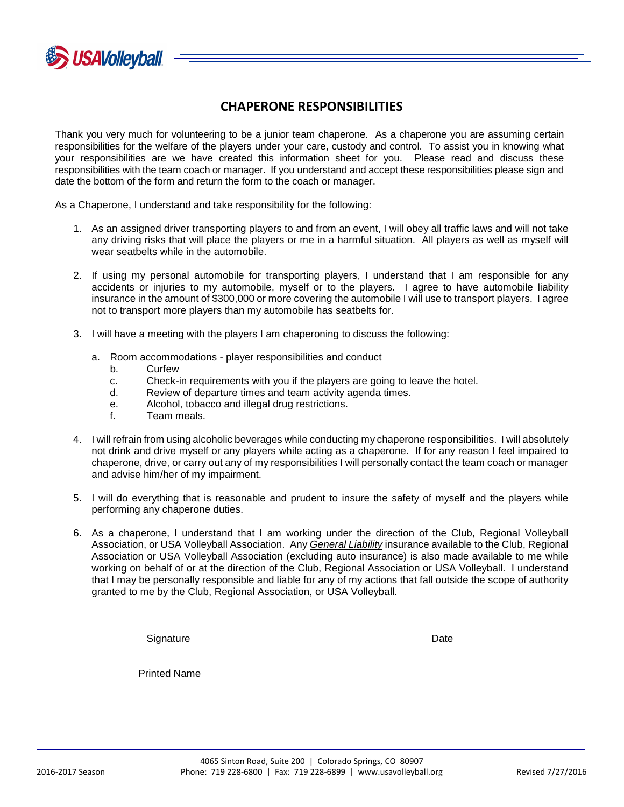

## **CHAPERONE RESPONSIBILITIES**

Thank you very much for volunteering to be a junior team chaperone. As a chaperone you are assuming certain responsibilities for the welfare of the players under your care, custody and control. To assist you in knowing what your responsibilities are we have created this information sheet for you. Please read and discuss these responsibilities with the team coach or manager. If you understand and accept these responsibilities please sign and date the bottom of the form and return the form to the coach or manager.

As a Chaperone, I understand and take responsibility for the following:

- 1. As an assigned driver transporting players to and from an event, I will obey all traffic laws and will not take any driving risks that will place the players or me in a harmful situation. All players as well as myself will wear seatbelts while in the automobile.
- 2. If using my personal automobile for transporting players, I understand that I am responsible for any accidents or injuries to my automobile, myself or to the players. I agree to have automobile liability insurance in the amount of \$300,000 or more covering the automobile I will use to transport players. I agree not to transport more players than my automobile has seatbelts for.
- 3. I will have a meeting with the players I am chaperoning to discuss the following:
	- a. Room accommodations player responsibilities and conduct
		- b. Curfew
		- c. Check-in requirements with you if the players are going to leave the hotel.
		- d. Review of departure times and team activity agenda times.
		- e. Alcohol, tobacco and illegal drug restrictions.
		- f. Team meals.
- 4. I will refrain from using alcoholic beverages while conducting my chaperone responsibilities. I will absolutely not drink and drive myself or any players while acting as a chaperone. If for any reason I feel impaired to chaperone, drive, or carry out any of my responsibilities I will personally contact the team coach or manager and advise him/her of my impairment.
- 5. I will do everything that is reasonable and prudent to insure the safety of myself and the players while performing any chaperone duties.
- 6. As a chaperone, I understand that I am working under the direction of the Club, Regional Volleyball Association, or USA Volleyball Association. Any *General Liability* insurance available to the Club, Regional Association or USA Volleyball Association (excluding auto insurance) is also made available to me while working on behalf of or at the direction of the Club, Regional Association or USA Volleyball. I understand that I may be personally responsible and liable for any of my actions that fall outside the scope of authority granted to me by the Club, Regional Association, or USA Volleyball.

Signature **Date of the Signature of the Contract of the Contract of the Date** Date

Printed Name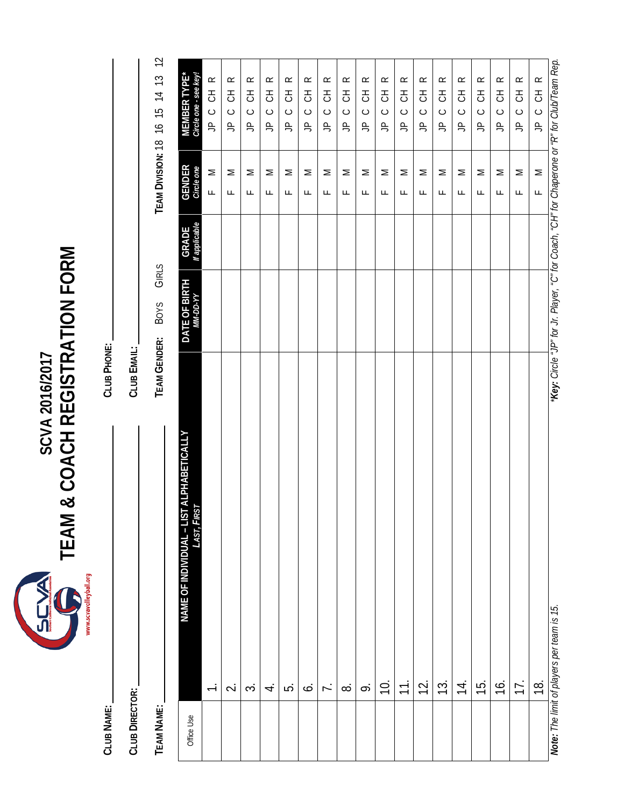www.scvavolleyball.org

# **EVAN**<br>
TEAM & COACH REGISTRATION FORM **TEAM & COACH REGISTRATION FORM SCVA 2016/2017**

**CLUB NAME: CLUB PHONE:** CLUB NAME:

**CLUB DIRECTOR: CLUB EMAIL: CLUB DIRECTOR:** 

TEAM NAME:

CLUB EMAIL:

CLUB PHONE:

**TEAM NAME: TEAM GENDER:** BOYS GIRLS **TEAM DIVISION:** 18 16 15 14 13 12 GIRLS TEAM GENDER: BOYS

| Office Use | NAME OF INDIVIDUAL – LIST ALPHABETICALLY<br>LAST, FIRST | DATE OF BIRTH | <b>GRADE</b><br>If applicable | <b>GENDER</b><br>Circle one | MEMBER TYPE*<br>Circle one - see key!                                                         |
|------------|---------------------------------------------------------|---------------|-------------------------------|-----------------------------|-----------------------------------------------------------------------------------------------|
|            | $\overline{\phantom{0}}$                                |               |                               | Σ<br>Щ                      | $\alpha$<br>F<br>$\circ$<br>$\cong$                                                           |
|            | $\overline{\sim}$                                       |               |                               | Σ<br>Щ                      | $\simeq$<br>공<br>$\circ$<br>$\triangle$                                                       |
|            | $\dot{\sim}$                                            |               |                               | Σ<br>Щ                      | $\propto$<br>FO<br>$\circ$<br>$\triangle$                                                     |
|            | 4.                                                      |               |                               | $\geq$<br>Щ                 | $\simeq$<br>공<br>$\circ$<br>$\triangle$                                                       |
|            | خى                                                      |               |                               | Σ<br>Щ                      | $\simeq$<br>FO<br>$\circ$<br>$\triangle$                                                      |
|            | ن.                                                      |               |                               | Σ<br>Щ                      | $\simeq$<br>舌<br>$\circ$<br>$\triangle$                                                       |
|            | $\overline{r}$ .                                        |               |                               | Σ<br>Щ                      | $\simeq$<br>舌<br>$\circ$<br>$\frac{\rho}{\sqrt{2}}$                                           |
|            | $\infty$                                                |               |                               | Σ<br>Щ                      | $\simeq$<br>FO<br>$\circ$<br>$\frac{\rho}{\sqrt{2}}$                                          |
|            | $\ddot{\circ}$                                          |               |                               | Σ<br>Щ                      | $\simeq$<br>舌<br>$\circ$<br>$\triangle$                                                       |
|            | $\overline{0}$                                          |               |                               | Σ<br>Щ                      | $\simeq$<br>FO<br>$\circ$<br>$\Rightarrow$                                                    |
|            | $\overline{\tau}$ .                                     |               |                               | Σ<br>Щ                      | $\simeq$<br>F<br>$\circ$<br>$\triangle$                                                       |
|            | 12.                                                     |               |                               | Σ<br>Щ                      | $\simeq$<br>FO<br>$\circ$<br>$\Rightarrow$                                                    |
|            | 13.                                                     |               |                               | Σ<br>Щ                      | $\propto$<br>FO<br>$\circ$<br>$\triangle$                                                     |
|            | $\frac{4}{1}$                                           |               |                               | Σ<br>Щ                      | $\simeq$<br>舌<br>$\circ$<br>$\frac{\rho}{\sqrt{2}}$                                           |
|            | 15.                                                     |               |                               | Σ<br>Щ                      | $\propto$<br>FO<br>$\circ$<br>$\frac{\rho}{\sqrt{2}}$                                         |
|            | $\frac{1}{2}$                                           |               |                               | Σ<br>Щ                      | $\simeq$<br>FO<br>$\circ$<br>$\frac{\rho}{\sqrt{2}}$                                          |
|            | 17.                                                     |               |                               | Σ<br>Щ                      | $\simeq$<br>FO<br>$\circ$<br>$\triangle$                                                      |
|            | $\frac{1}{2}$                                           |               |                               | $\geq$<br>$\overline{a}$    | $\propto$<br>きっ<br>$\triangleq$                                                               |
|            | Note: The limit of players per team is 15.              |               |                               |                             | "Key: Circle "JP" for Jr. Player, "C" for Coach, "CH" for Chaperone or "R" for Club/Team Rep. |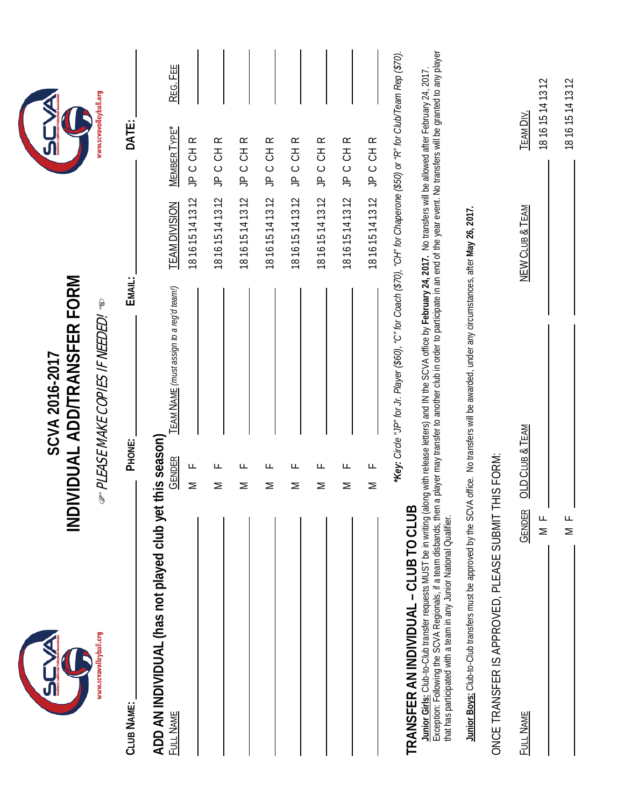|                                                                                                                                                                                   | INDIVIDUAL ADD/TRANSFER FORM<br>SCVA 2016-2017                                                                                                                                                                                                                                                                                                                                                                                                                        |                                      |                                                      |
|-----------------------------------------------------------------------------------------------------------------------------------------------------------------------------------|-----------------------------------------------------------------------------------------------------------------------------------------------------------------------------------------------------------------------------------------------------------------------------------------------------------------------------------------------------------------------------------------------------------------------------------------------------------------------|--------------------------------------|------------------------------------------------------|
| www.scvavolleyball.org                                                                                                                                                            | <i>ு PLEASE MAKE COPIES IF NEEDED!</i> ு                                                                                                                                                                                                                                                                                                                                                                                                                              |                                      | www.scvavolleyball.org                               |
| <b>CLUB NAME:</b>                                                                                                                                                                 | PHONE:                                                                                                                                                                                                                                                                                                                                                                                                                                                                | EMAIL:                               | DATE:                                                |
| ADD AN INDIVIDUAL (has not played club yet<br>Full Name                                                                                                                           | <b>TEAM NAME</b> (must assign to a reg'd team!)<br>this season)<br><b>GENDER</b><br>Щ<br>Σ                                                                                                                                                                                                                                                                                                                                                                            | 181615141312<br><b>TEAM DIVISION</b> | REG. FEE<br>$M$ EMBER TYPE <sup>*</sup><br>JP C CH R |
|                                                                                                                                                                                   | ட<br>$\geq$                                                                                                                                                                                                                                                                                                                                                                                                                                                           | 181615141312                         | JP C CH R                                            |
|                                                                                                                                                                                   | ட<br>Σ                                                                                                                                                                                                                                                                                                                                                                                                                                                                | 181615141312                         | JP C CH R                                            |
|                                                                                                                                                                                   | ட<br>Σ                                                                                                                                                                                                                                                                                                                                                                                                                                                                | 181615141312                         | JP C CH R                                            |
|                                                                                                                                                                                   | ட<br>Σ                                                                                                                                                                                                                                                                                                                                                                                                                                                                | JP C<br>181615141312                 | $\simeq$<br>공<br>5                                   |
|                                                                                                                                                                                   | щ<br>Σ                                                                                                                                                                                                                                                                                                                                                                                                                                                                | 181615141312                         | JP C CH R                                            |
|                                                                                                                                                                                   | Щ<br>$\geq$                                                                                                                                                                                                                                                                                                                                                                                                                                                           | 181615141312                         | JP C CH R                                            |
|                                                                                                                                                                                   | Щ<br>$\geq$                                                                                                                                                                                                                                                                                                                                                                                                                                                           | 181615141312                         | JP C CH R                                            |
| TRANSFER AN INDIVIDUAL - CLUB TO CLUB<br>Exception: Following the SCVA Regionals, if a team disbands, then<br>that has participated with a team in any Junior National Qualifier. | a player may transfer to another club in order to participate in an end of the year event. No transfers will be granted to any player<br>*Key: Circle "JP" for Jr. Player (\$60), "C" for Coach (\$70), "CH" for Chaperone (\$50) or "R" for Club/Team Rep (\$70).<br>Junior Girls: Club-to-Club transfer requests MUST be in writing (along with release letters) and IN the SCVA office by February 24, 2017. No transfers will be allowed after February 24, 2017. |                                      |                                                      |
|                                                                                                                                                                                   | Junior Boys: Club-to-Club transfers must be approved by the SCVA office. No transfers will be awarded, under any circumstances, after May 26, 2017.                                                                                                                                                                                                                                                                                                                   |                                      |                                                      |
| ONCE TRANSFER IS APPROVED, PLEASE SUBMIT T                                                                                                                                        | HIS FORM:                                                                                                                                                                                                                                                                                                                                                                                                                                                             |                                      |                                                      |
| FULL NAME                                                                                                                                                                         | OLD CLUB & TEAM<br><b>GENDER</b><br>$\frac{1}{2}$                                                                                                                                                                                                                                                                                                                                                                                                                     | NEW CLUB & TEAM                      | 181615141312<br><b>TEAM DIV.</b>                     |
|                                                                                                                                                                                   | $\frac{1}{2}$                                                                                                                                                                                                                                                                                                                                                                                                                                                         |                                      | 181615141312                                         |